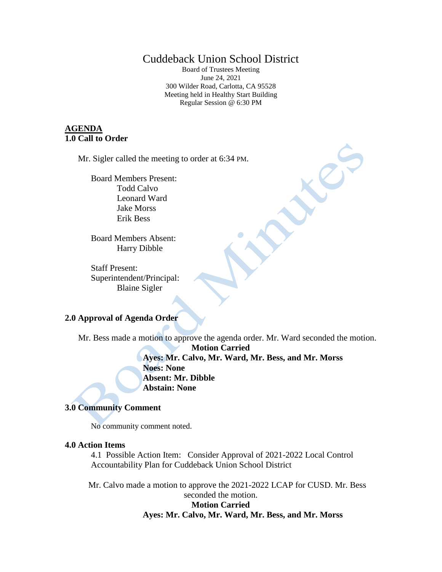# Cuddeback Union School District

Board of Trustees Meeting June 24, 2021 300 Wilder Road, Carlotta, CA 95528 Meeting held in Healthy Start Building Regular Session @ 6:30 PM

# **AGENDA 1.0 Call to Order**

Mr. Sigler called the meeting to order at 6:34 PM.

Board Members Present: Todd Calvo Leonard Ward Jake Morss Erik Bess

Board Members Absent: Harry Dibble

Staff Present: Superintendent/Principal: Blaine Sigler

# **2.0 Approval of Agenda Order**

Mr. Bess made a motion to approve the agenda order. Mr. Ward seconded the motion.

**Motion Carried Ayes: Mr. Calvo, Mr. Ward, Mr. Bess, and Mr. Morss Noes: None Absent: Mr. Dibble Abstain: None**

#### **3.0 Community Comment**

No community comment noted.

### **4.0 Action Items**

4.1 Possible Action Item: Consider Approval of 2021-2022 Local Control Accountability Plan for Cuddeback Union School District

Mr. Calvo made a motion to approve the 2021-2022 LCAP for CUSD. Mr. Bess seconded the motion. **Motion Carried Ayes: Mr. Calvo, Mr. Ward, Mr. Bess, and Mr. Morss**